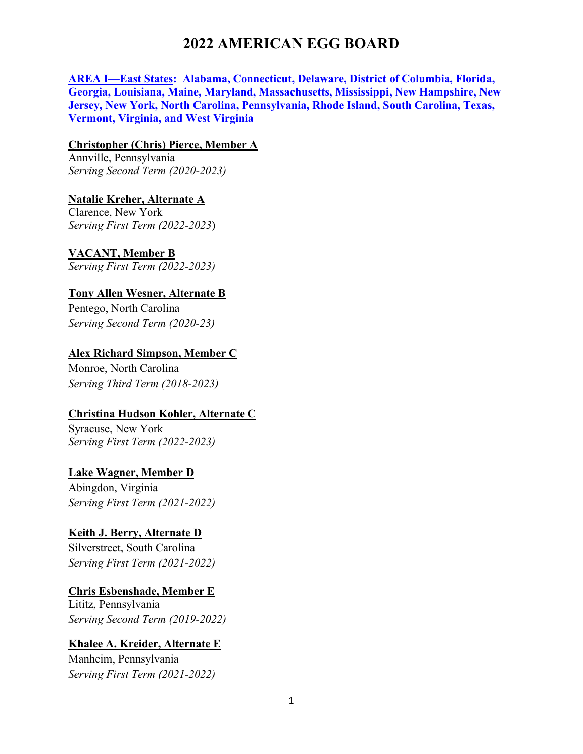**AREA I—East States: Alabama, Connecticut, Delaware, District of Columbia, Florida, Georgia, Louisiana, Maine, Maryland, Massachusetts, Mississippi, New Hampshire, New Jersey, New York, North Carolina, Pennsylvania, Rhode Island, South Carolina, Texas, Vermont, Virginia, and West Virginia**

#### **Christopher (Chris) Pierce, Member A**

Annville, Pennsylvania *Serving Second Term (2020-2023)*

#### **Natalie Kreher, Alternate A**

Clarence, New York *Serving First Term (2022-2023*)

## **VACANT, Member B**

*Serving First Term (2022-2023)* 

## **Tony Allen Wesner, Alternate B**

Pentego, North Carolina *Serving Second Term (2020-23)* 

#### **Alex Richard Simpson, Member C**

Monroe, North Carolina *Serving Third Term (2018-2023)*

#### **Christina Hudson Kohler, Alternate C**

Syracuse, New York *Serving First Term (2022-2023)* 

#### **Lake Wagner, Member D**

Abingdon, Virginia *Serving First Term (2021-2022)*

#### **Keith J. Berry, Alternate D**

Silverstreet, South Carolina *Serving First Term (2021-2022)* 

#### **Chris Esbenshade, Member E**

Lititz, Pennsylvania *Serving Second Term (2019-2022)* 

#### **Khalee A. Kreider, Alternate E**

Manheim, Pennsylvania *Serving First Term (2021-2022)*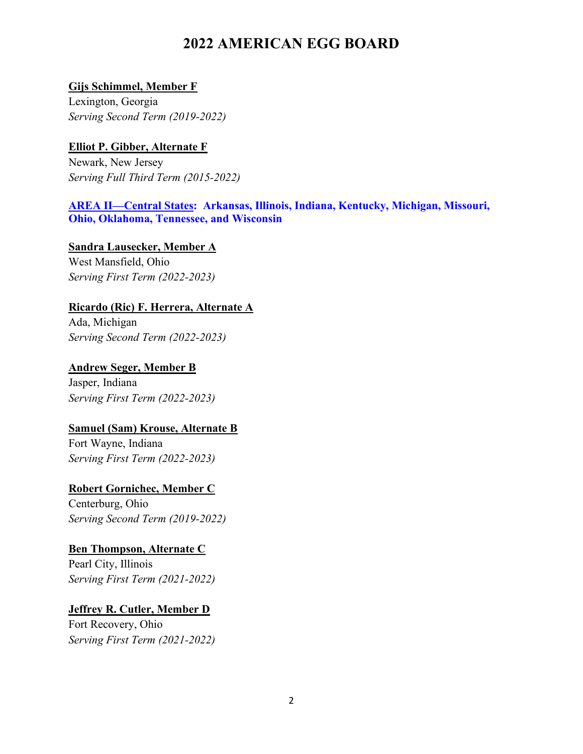## **Gijs Schimmel, Member F**

Lexington, Georgia *Serving Second Term (2019-2022)* 

# **Elliot P. Gibber, Alternate F**

Newark, New Jersey *Serving Full Third Term (2015-2022)* 

## **AREA II—Central States: Arkansas, Illinois, Indiana, Kentucky, Michigan, Missouri, Ohio, Oklahoma, Tennessee, and Wisconsin**

**Sandra Lausecker, Member A** West Mansfield, Ohio *Serving First Term (2022-2023)* 

# **Ricardo (Ric) F. Herrera, Alternate A**

Ada, Michigan *Serving Second Term (2022-2023)* 

**Andrew Seger, Member B** Jasper, Indiana *Serving First Term (2022-2023)* 

# **Samuel (Sam) Krouse, Alternate B**

Fort Wayne, Indiana *Serving First Term (2022-2023)* 

# **Robert Gornichec, Member C**

Centerburg, Ohio *Serving Second Term (2019-2022)* 

#### **Ben Thompson, Alternate C**

Pearl City, Illinois *Serving First Term (2021-2022)* 

# **Jeffrey R. Cutler, Member D**

Fort Recovery, Ohio *Serving First Term (2021-2022)*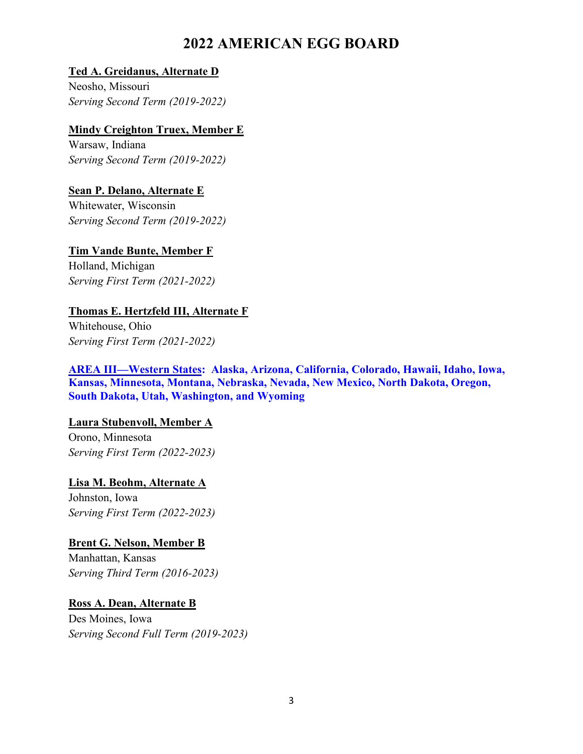#### **Ted A. Greidanus, Alternate D**

Neosho, Missouri *Serving Second Term (2019-2022)* 

## **Mindy Creighton Truex, Member E**

Warsaw, Indiana *Serving Second Term (2019-2022)* 

## **Sean P. Delano, Alternate E**

Whitewater, Wisconsin *Serving Second Term (2019-2022)* 

# **Tim Vande Bunte, Member F**

Holland, Michigan *Serving First Term (2021-2022)*

# **Thomas E. Hertzfeld III, Alternate F**

Whitehouse, Ohio *Serving First Term (2021-2022)* 

#### **AREA III—Western States: Alaska, Arizona, California, Colorado, Hawaii, Idaho, Iowa, Kansas, Minnesota, Montana, Nebraska, Nevada, New Mexico, North Dakota, Oregon, South Dakota, Utah, Washington, and Wyoming**

# **Laura Stubenvoll, Member A**

Orono, Minnesota *Serving First Term (2022-2023)* 

# **Lisa M. Beohm, Alternate A**

Johnston, Iowa *Serving First Term (2022-2023)* 

#### **Brent G. Nelson, Member B**

Manhattan, Kansas *Serving Third Term (2016-2023)*

# **Ross A. Dean, Alternate B**

Des Moines, Iowa *Serving Second Full Term (2019-2023)*